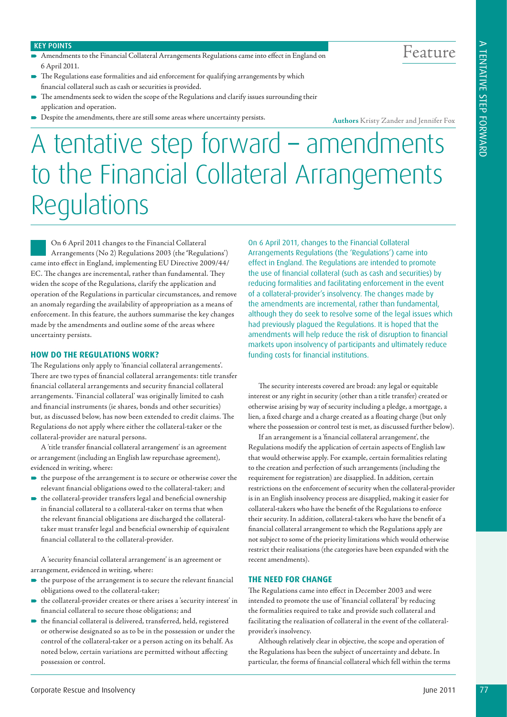# Feature

#### KEY POINTS

- Amendments to the Financial Collateral Arrangements Regulations came into effect in England on 6 April 2011.
- The Regulations ease formalities and aid enforcement for qualifying arrangements by which financial collateral such as cash or securities is provided.
- The amendments seek to widen the scope of the Regulations and clarify issues surrounding their application and operation.
- Despite the amendments, there are still some areas where uncertainty persists.

**Authors** Kristy Zander and Jennifer Fox

## A tentative step forward – amendments to the Financial Collateral Arrangements Regulations

On 6 April 2011 changes to the Financial Collateral Arrangements (No 2) Regulations 2003 (the **'**Regulations') came into effect in England, implementing EU Directive 2009/44/ EC. The changes are incremental, rather than fundamental. They widen the scope of the Regulations, clarify the application and operation of the Regulations in particular circumstances, and remove an anomaly regarding the availability of appropriation as a means of enforcement. In this feature, the authors summarise the key changes made by the amendments and outline some of the areas where uncertainty persists.

#### **HOW DO THE REGULATIONS WORK?**

The Regulations only apply to 'financial collateral arrangements'. There are two types of financial collateral arrangements: title transfer financial collateral arrangements and security financial collateral arrangements. 'Financial collateral' was originally limited to cash and financial instruments (ie shares, bonds and other securities) but, as discussed below, has now been extended to credit claims. The Regulations do not apply where either the collateral-taker or the collateral-provider are natural persons.

A 'title transfer financial collateral arrangement' is an agreement or arrangement (including an English law repurchase agreement), evidenced in writing, where:

- $\blacktriangleright$  the purpose of the arrangement is to secure or otherwise cover the relevant financial obligations owed to the collateral-taker; and
- the collateral-provider transfers legal and beneficial ownership in financial collateral to a collateral-taker on terms that when the relevant financial obligations are discharged the collateraltaker must transfer legal and beneficial ownership of equivalent financial collateral to the collateral-provider.

A 'security financial collateral arrangement' is an agreement or arrangement, evidenced in writing, where:

- $\blacktriangleright$  the purpose of the arrangement is to secure the relevant financial obligations owed to the collateral-taker;
- $\blacktriangleright$  the collateral-provider creates or there arises a 'security interest' in financial collateral to secure those obligations; and
- the financial collateral is delivered, transferred, held, registered or otherwise designated so as to be in the possession or under the control of the collateral-taker or a person acting on its behalf. As noted below, certain variations are permitted without affecting possession or control.

On 6 April 2011, changes to the Financial Collateral Arrangements Regulations (the 'Regulations') came into effect in England. The Regulations are intended to promote the use of financial collateral (such as cash and securities) by reducing formalities and facilitating enforcement in the event of a collateral-provider's insolvency. The changes made by the amendments are incremental, rather than fundamental, although they do seek to resolve some of the legal issues which had previously plagued the Regulations. It is hoped that the amendments will help reduce the risk of disruption to financial markets upon insolvency of participants and ultimately reduce funding costs for financial institutions.

The security interests covered are broad: any legal or equitable interest or any right in security (other than a title transfer) created or otherwise arising by way of security including a pledge, a mortgage, a lien, a fixed charge and a charge created as a floating charge (but only where the possession or control test is met, as discussed further below).

If an arrangement is a 'financial collateral arrangement', the Regulations modify the application of certain aspects of English law that would otherwise apply. For example, certain formalities relating to the creation and perfection of such arrangements (including the requirement for registration) are disapplied. In addition, certain restrictions on the enforcement of security when the collateral-provider is in an English insolvency process are disapplied, making it easier for collateral-takers who have the benefit of the Regulations to enforce their security. In addition, collateral-takers who have the benefit of a financial collateral arrangement to which the Regulations apply are not subject to some of the priority limitations which would otherwise restrict their realisations (the categories have been expanded with the recent amendments).

### **THE NEED FOR CHANGE**

The Regulations came into effect in December 2003 and were intended to promote the use of 'financial collateral' by reducing the formalities required to take and provide such collateral and facilitating the realisation of collateral in the event of the collateralprovider's insolvency.

Although relatively clear in objective, the scope and operation of the Regulations has been the subject of uncertainty and debate. In particular, the forms of financial collateral which fell within the terms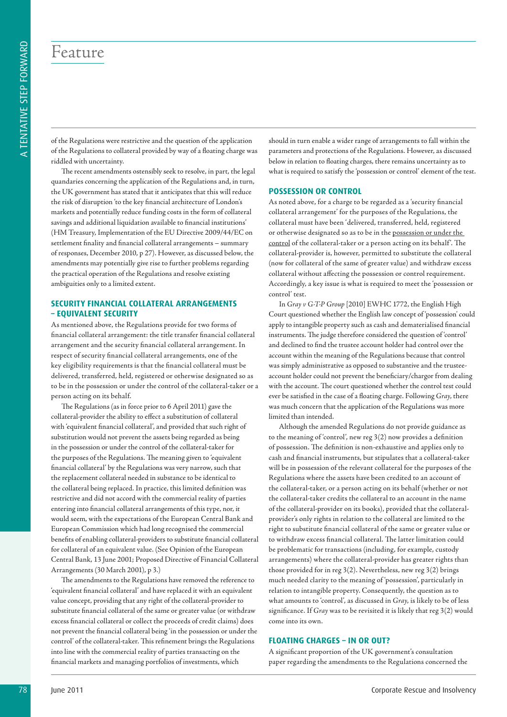### Feature

of the Regulations were restrictive and the question of the application of the Regulations to collateral provided by way of a floating charge was riddled with uncertainty.

The recent amendments ostensibly seek to resolve, in part, the legal quandaries concerning the application of the Regulations and, in turn, the UK government has stated that it anticipates that this will reduce the risk of disruption 'to the key financial architecture of London's markets and potentially reduce funding costs in the form of collateral savings and additional liquidation available to financial institutions' (HM Treasury, Implementation of the EU Directive 2009/44/EC on settlement finality and financial collateral arrangements – summary of responses, December 2010, p 27). However, as discussed below, the amendments may potentially give rise to further problems regarding the practical operation of the Regulations and resolve existing ambiguities only to a limited extent.

#### **SECURITY FINANCIAL COLLATERAL ARRANGEMENTS – EQUIVALENT SECURITY**

As mentioned above, the Regulations provide for two forms of financial collateral arrangement: the title transfer financial collateral arrangement and the security financial collateral arrangement. In respect of security financial collateral arrangements, one of the key eligibility requirements is that the financial collateral must be delivered, transferred, held, registered or otherwise designated so as to be in the possession or under the control of the collateral-taker or a person acting on its behalf.

The Regulations (as in force prior to 6 April 2011) gave the collateral-provider the ability to effect a substitution of collateral with 'equivalent financial collateral', and provided that such right of substitution would not prevent the assets being regarded as being in the possession or under the control of the collateral-taker for the purposes of the Regulations. The meaning given to 'equivalent financial collateral' by the Regulations was very narrow, such that the replacement collateral needed in substance to be identical to the collateral being replaced. In practice, this limited definition was restrictive and did not accord with the commercial reality of parties entering into financial collateral arrangements of this type, nor, it would seem, with the expectations of the European Central Bank and European Commission which had long recognised the commercial benefits of enabling collateral-providers to substitute financial collateral for collateral of an equivalent value. (See Opinion of the European Central Bank, 13 June 2001; Proposed Directive of Financial Collateral Arrangements (30 March 2001), p 3.)

The amendments to the Regulations have removed the reference to 'equivalent financial collateral' and have replaced it with an equivalent value concept, providing that any right of the collateral-provider to substitute financial collateral of the same or greater value (or withdraw excess financial collateral or collect the proceeds of credit claims) does not prevent the financial collateral being 'in the possession or under the control' of the collateral-taker. This refinement brings the Regulations into line with the commercial reality of parties transacting on the financial markets and managing portfolios of investments, which

should in turn enable a wider range of arrangements to fall within the parameters and protections of the Regulations. However, as discussed below in relation to floating charges, there remains uncertainty as to what is required to satisfy the 'possession or control' element of the test.

#### **POSSESSION OR CONTROL**

As noted above, for a charge to be regarded as a 'security financial collateral arrangement' for the purposes of the Regulations, the collateral must have been 'delivered, transferred, held, registered or otherwise designated so as to be in the possession or under the control of the collateral-taker or a person acting on its behalf'. The collateral-provider is, however, permitted to substitute the collateral (now for collateral of the same of greater value) and withdraw excess collateral without affecting the possession or control requirement. Accordingly, a key issue is what is required to meet the 'possession or control' test.

In *Gray v G-T-P Group* [2010] EWHC 1772, the English High Court questioned whether the English law concept of 'possession' could apply to intangible property such as cash and dematerialised financial instruments. The judge therefore considered the question of 'control' and declined to find the trustee account holder had control over the account within the meaning of the Regulations because that control was simply administrative as opposed to substantive and the trusteeaccount holder could not prevent the beneficiary/chargor from dealing with the account. The court questioned whether the control test could ever be satisfied in the case of a floating charge. Following *Gray*, there was much concern that the application of the Regulations was more limited than intended.

**FOR THE INTERFERITY PROGRAM CONTRIBUTERS** (**FOR THE INSOLVER CORPORATIONS)** and the interference of the interference of the interference of the interference of the interference of the interference of the interference of Although the amended Regulations do not provide guidance as to the meaning of 'control', new reg 3(2) now provides a definition of possession. The definition is non-exhaustive and applies only to cash and financial instruments, but stipulates that a collateral-taker will be in possession of the relevant collateral for the purposes of the Regulations where the assets have been credited to an account of the collateral-taker, or a person acting on its behalf (whether or not the collateral-taker credits the collateral to an account in the name of the collateral-provider on its books), provided that the collateralprovider's only rights in relation to the collateral are limited to the right to substitute financial collateral of the same or greater value or to withdraw excess financial collateral. The latter limitation could be problematic for transactions (including, for example, custody arrangements) where the collateral-provider has greater rights than those provided for in reg 3(2). Nevertheless, new reg 3(2) brings much needed clarity to the meaning of 'possession', particularly in relation to intangible property. Consequently, the question as to what amounts to 'control', as discussed in *Gray*, is likely to be of less significance. If *Gray* was to be revisited it is likely that reg 3(2) would come into its own.

#### **FLOATING CHARGES – IN OR OUT?**

A significant proportion of the UK government's consultation paper regarding the amendments to the Regulations concerned the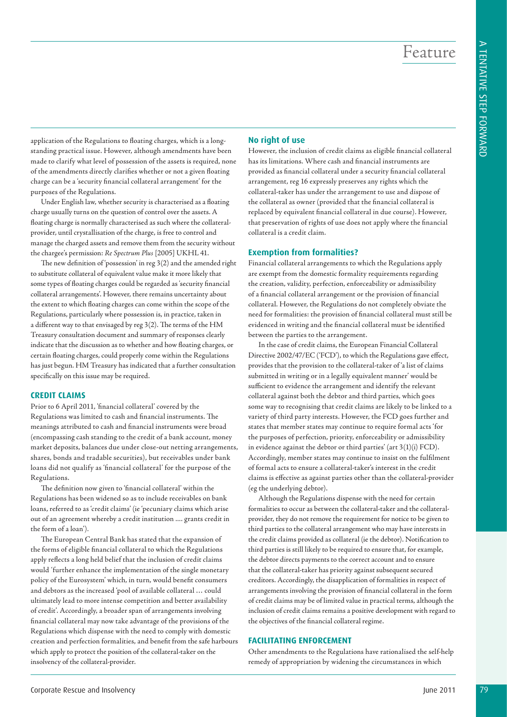Feature

application of the Regulations to floating charges, which is a longstanding practical issue. However, although amendments have been made to clarify what level of possession of the assets is required, none of the amendments directly clarifies whether or not a given floating charge can be a 'security financial collateral arrangement' for the purposes of the Regulations.

Under English law, whether security is characterised as a floating charge usually turns on the question of control over the assets. A floating charge is normally characterised as such where the collateralprovider, until crystallisation of the charge, is free to control and manage the charged assets and remove them from the security without the chargee's permission: *Re Spectrum Plus* [2005] UKHL 41.

The new definition of 'possession' in reg 3(2) and the amended right to substitute collateral of equivalent value make it more likely that some types of floating charges could be regarded as 'security financial collateral arrangements'. However, there remains uncertainty about the extent to which floating charges can come within the scope of the Regulations, particularly where possession is, in practice, taken in a different way to that envisaged by reg 3(2). The terms of the HM Treasury consultation document and summary of responses clearly indicate that the discussion as to whether and how floating charges, or certain floating charges, could properly come within the Regulations has just begun. HM Treasury has indicated that a further consultation specifically on this issue may be required.

#### **CREDIT CLAIMS**

Prior to 6 April 2011, 'financial collateral' covered by the Regulations was limited to cash and financial instruments. The meanings attributed to cash and financial instruments were broad (encompassing cash standing to the credit of a bank account, money market deposits, balances due under close-out netting arrangements, shares, bonds and tradable securities), but receivables under bank loans did not qualify as 'financial collateral' for the purpose of the Regulations.

The definition now given to 'financial collateral' within the Regulations has been widened so as to include receivables on bank loans, referred to as 'credit claims' (ie 'pecuniary claims which arise out of an agreement whereby a credit institution .... grants credit in the form of a loan')*.* 

The European Central Bank has stated that the expansion of the forms of eligible financial collateral to which the Regulations apply reflects a long held belief that the inclusion of credit claims would *'*further enhance the implementation of the single monetary policy of the Eurosystem' which, in turn, would benefit consumers and debtors as the increased 'pool of available collateral … could ultimately lead to more intense competition and better availability of credit'. Accordingly, a broader span of arrangements involving financial collateral may now take advantage of the provisions of the Regulations which dispense with the need to comply with domestic creation and perfection formalities, and benefit from the safe harbours which apply to protect the position of the collateral-taker on the insolvency of the collateral-provider.

#### **No right of use**

However, the inclusion of credit claims as eligible financial collateral has its limitations. Where cash and financial instruments are provided as financial collateral under a security financial collateral arrangement, reg 16 expressly preserves any rights which the collateral-taker has under the arrangement to use and dispose of the collateral as owner (provided that the financial collateral is replaced by equivalent financial collateral in due course). However, that preservation of rights of use does not apply where the financial collateral is a credit claim.

#### **Exemption from formalities?**

Financial collateral arrangements to which the Regulations apply are exempt from the domestic formality requirements regarding the creation, validity, perfection, enforceability or admissibility of a financial collateral arrangement or the provision of financial collateral. However, the Regulations do not completely obviate the need for formalities: the provision of financial collateral must still be evidenced in writing and the financial collateral must be identified between the parties to the arrangement.

In the case of credit claims, the European Financial Collateral Directive 2002/47/EC ('FCD'), to which the Regulations gave effect, provides that the provision to the collateral-taker of 'a list of claims submitted in writing or in a legally equivalent manner' would be sufficient to evidence the arrangement and identify the relevant collateral against both the debtor and third parties, which goes some way to recognising that credit claims are likely to be linked to a variety of third party interests. However, the FCD goes further and states that member states may continue to require formal acts 'for the purposes of perfection, priority, enforceability or admissibility in evidence against the debtor or third parties' (art 3(1)(i) FCD). Accordingly, member states may continue to insist on the fulfilment of formal acts to ensure a collateral-taker's interest in the credit claims is effective as against parties other than the collateral-provider (eg the underlying debtor).

Although the Regulations dispense with the need for certain formalities to occur as between the collateral-taker and the collateralprovider, they do not remove the requirement for notice to be given to third parties to the collateral arrangement who may have interests in the credit claims provided as collateral (ie the debtor). Notification to third parties is still likely to be required to ensure that, for example, the debtor directs payments to the correct account and to ensure that the collateral-taker has priority against subsequent secured creditors. Accordingly, the disapplication of formalities in respect of arrangements involving the provision of financial collateral in the form of credit claims may be of limited value in practical terms, although the inclusion of credit claims remains a positive development with regard to the objectives of the financial collateral regime.

#### **FACILITATING ENFORCEMENT**

Other amendments to the Regulations have rationalised the self-help remedy of appropriation by widening the circumstances in which